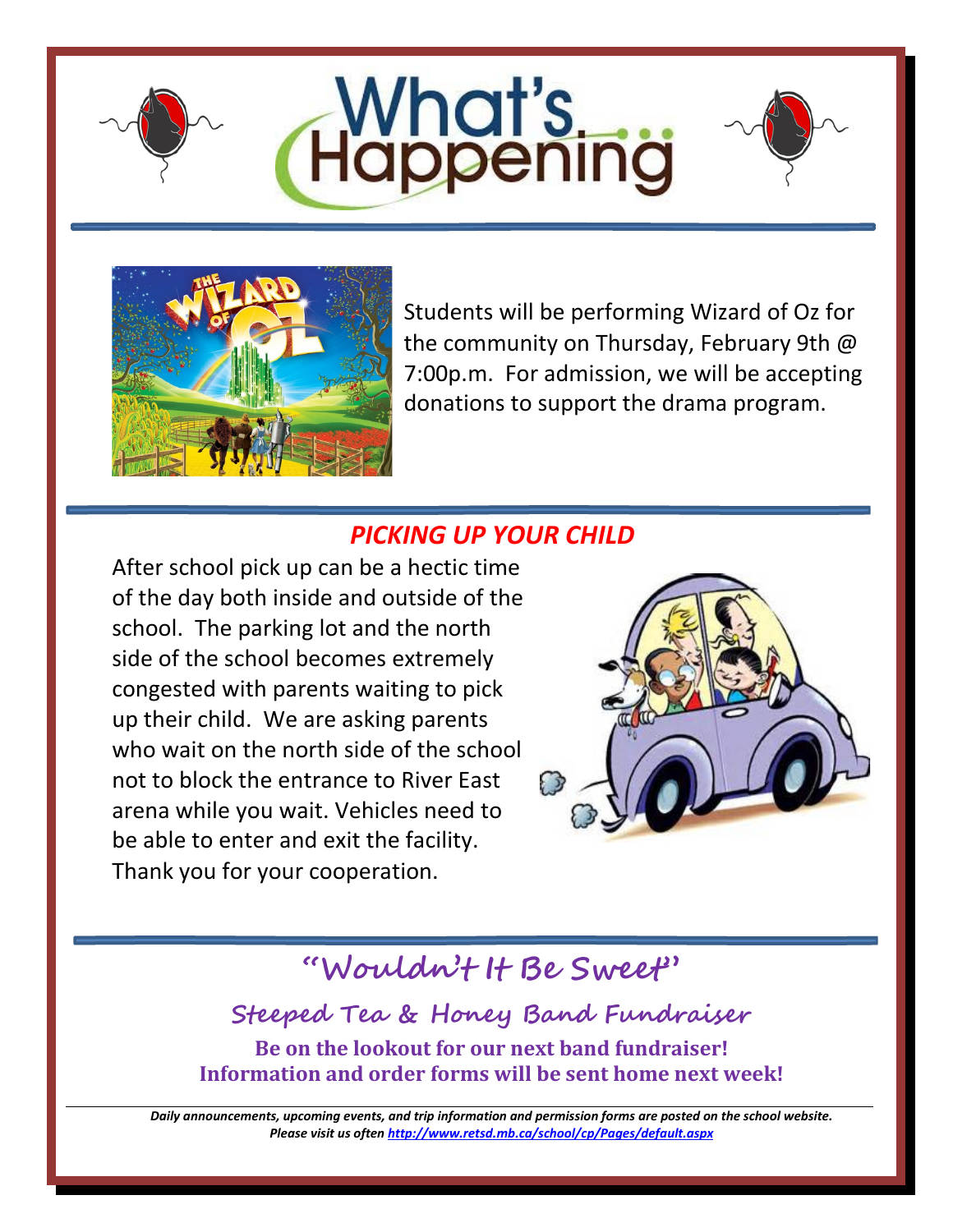







Students will be performing Wizard of Oz for the community on Thursday, February 9th @ 7:00p.m. For admission, we will be accepting donations to support the drama program.

## *PICKING UP YOUR CHILD*

After school pick up can be a hectic time of the day both inside and outside of the school. The parking lot and the north side of the school becomes extremely congested with parents waiting to pick up their child. We are asking parents who wait on the north side of the school not to block the entrance to River East arena while you wait. Vehicles need to be able to enter and exit the facility. Thank you for your cooperation.



# **"Wouldn't It Be Sweet"**

**Steeped Tea & Honey Band Fundraiser Be on the lookout for our next band fundraiser! Information and order forms will be sent home next week!**

*Daily announcements, upcoming events, and trip information and permission forms are posted on the school website. Please visit us ofte[n http://www.retsd.mb.ca/school/cp/Pages/default.aspx](http://www.retsd.mb.ca/school/cp/Pages/default.aspx)*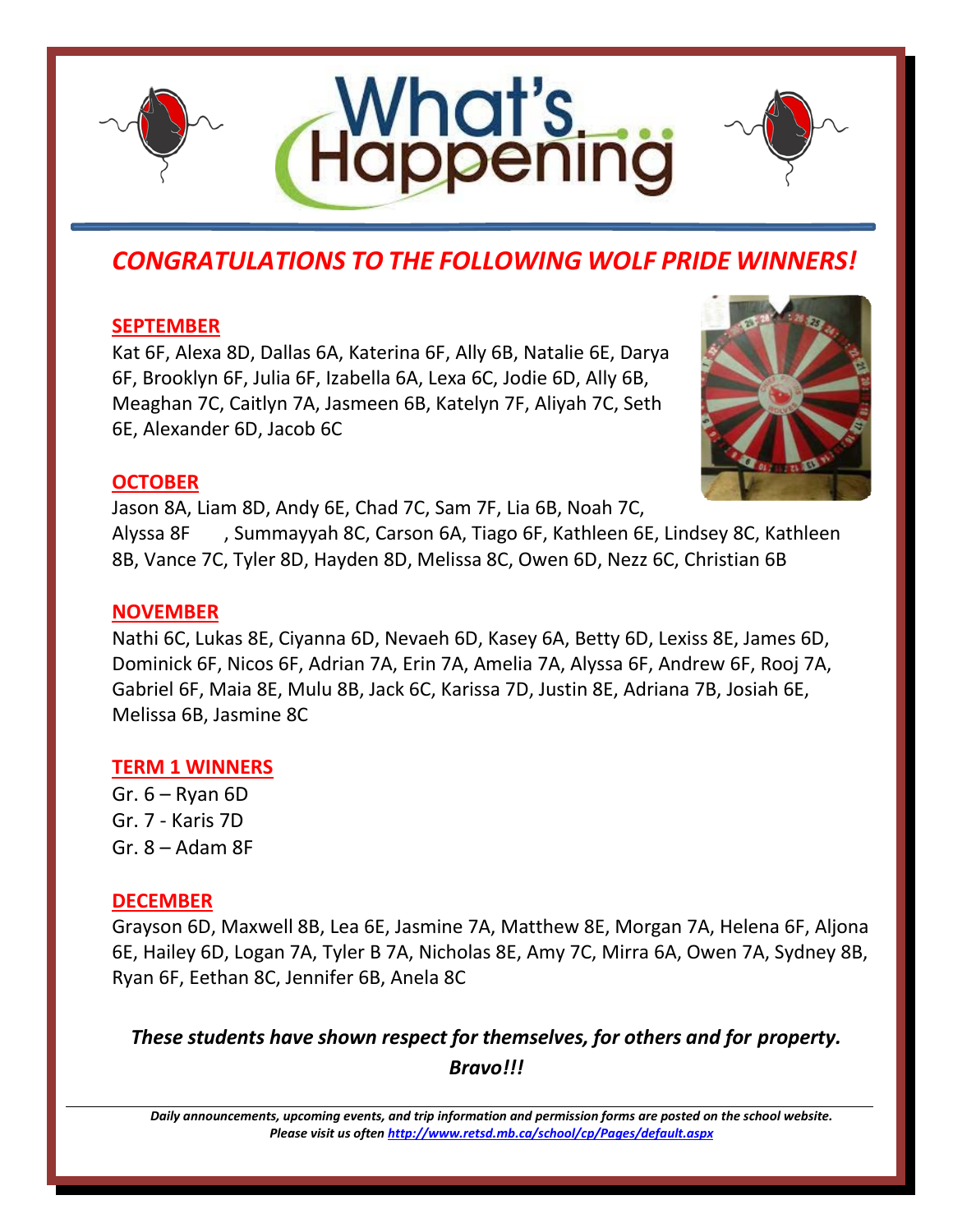





## *CONGRATULATIONS TO THE FOLLOWING WOLF PRIDE WINNERS!*

#### **SEPTEMBER**

Kat 6F, Alexa 8D, Dallas 6A, Katerina 6F, Ally 6B, Natalie 6E, Darya 6F, Brooklyn 6F, Julia 6F, Izabella 6A, Lexa 6C, Jodie 6D, Ally 6B, Meaghan 7C, Caitlyn 7A, Jasmeen 6B, Katelyn 7F, Aliyah 7C, Seth 6E, Alexander 6D, Jacob 6C



#### **OCTOBER**

Jason 8A, Liam 8D, Andy 6E, Chad 7C, Sam 7F, Lia 6B, Noah 7C, Alyssa 8F , Summayyah 8C, Carson 6A, Tiago 6F, Kathleen 6E, Lindsey 8C, Kathleen

8B, Vance 7C, Tyler 8D, Hayden 8D, Melissa 8C, Owen 6D, Nezz 6C, Christian 6B

#### **NOVEMBER**

Nathi 6C, Lukas 8E, Ciyanna 6D, Nevaeh 6D, Kasey 6A, Betty 6D, Lexiss 8E, James 6D, Dominick 6F, Nicos 6F, Adrian 7A, Erin 7A, Amelia 7A, Alyssa 6F, Andrew 6F, Rooj 7A, Gabriel 6F, Maia 8E, Mulu 8B, Jack 6C, Karissa 7D, Justin 8E, Adriana 7B, Josiah 6E, Melissa 6B, Jasmine 8C

#### **TERM 1 WINNERS**

Gr. 6 – Ryan 6D Gr. 7 - Karis 7D Gr. 8 – Adam 8F

### **DECEMBER**

Grayson 6D, Maxwell 8B, Lea 6E, Jasmine 7A, Matthew 8E, Morgan 7A, Helena 6F, Aljona 6E, Hailey 6D, Logan 7A, Tyler B 7A, Nicholas 8E, Amy 7C, Mirra 6A, Owen 7A, Sydney 8B, Ryan 6F, Eethan 8C, Jennifer 6B, Anela 8C

*These students have shown respect for themselves, for others and for property. Bravo!!!*

*Daily announcements, upcoming events, and trip information and permission forms are posted on the school website. Please visit us ofte[n http://www.retsd.mb.ca/school/cp/Pages/default.aspx](http://www.retsd.mb.ca/school/cp/Pages/default.aspx)*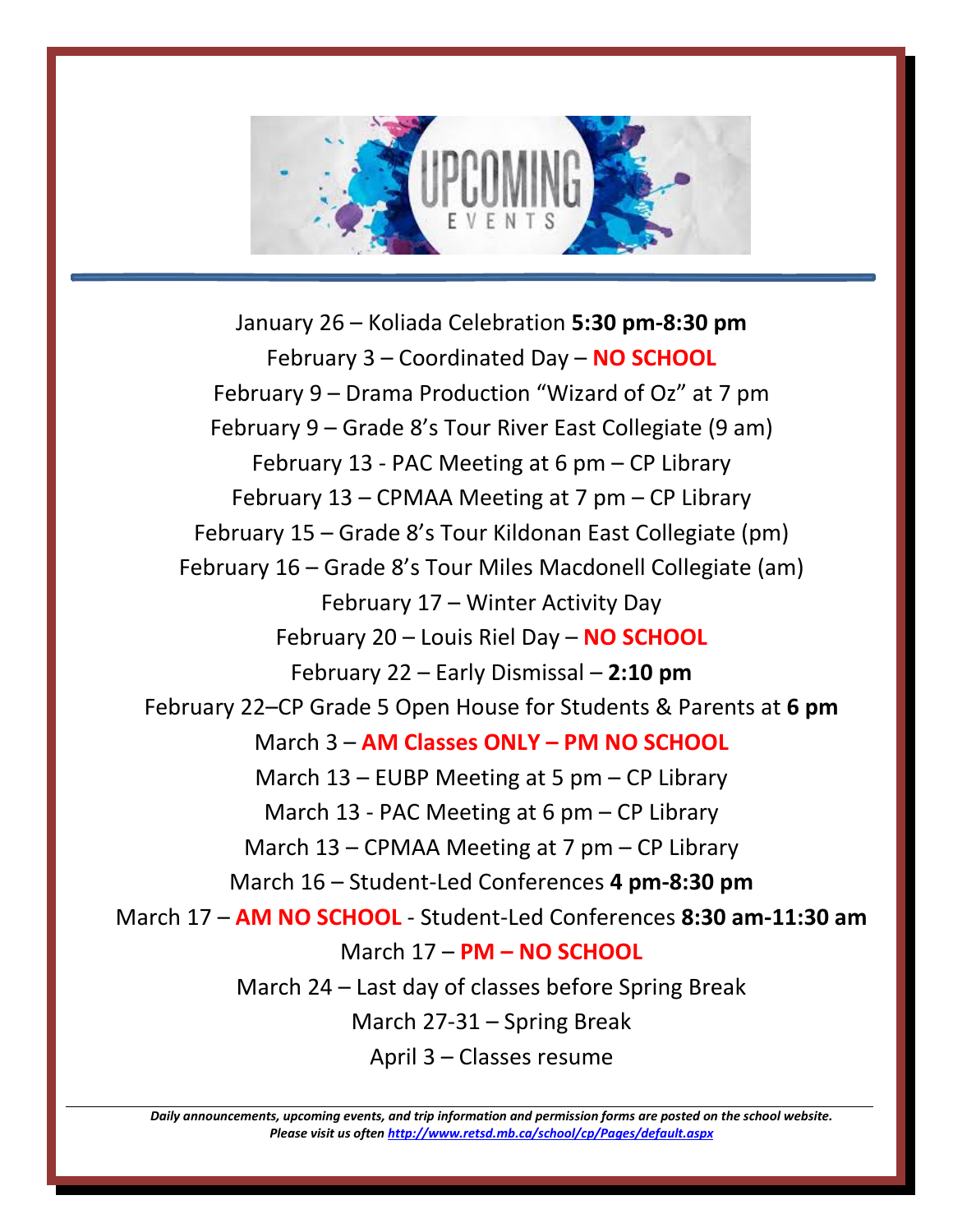

January 26 – Koliada Celebration **5:30 pm-8:30 pm** February 3 – Coordinated Day – **NO SCHOOL** February 9 – Drama Production "Wizard of Oz" at 7 pm February 9 – Grade 8's Tour River East Collegiate (9 am) February 13 - PAC Meeting at 6 pm – CP Library February 13 – CPMAA Meeting at 7 pm – CP Library February 15 – Grade 8's Tour Kildonan East Collegiate (pm) February 16 – Grade 8's Tour Miles Macdonell Collegiate (am) February 17 – Winter Activity Day February 20 – Louis Riel Day – **NO SCHOOL** February 22 – Early Dismissal – **2:10 pm** February 22–CP Grade 5 Open House for Students & Parents at **6 pm** March 3 – **AM Classes ONLY – PM NO SCHOOL** March 13 – EUBP Meeting at 5 pm – CP Library March 13 - PAC Meeting at 6 pm – CP Library March 13 – CPMAA Meeting at 7 pm – CP Library March 16 – Student-Led Conferences **4 pm-8:30 pm** March 17 – **AM NO SCHOOL** - Student-Led Conferences **8:30 am-11:30 am** March 17 – **PM – NO SCHOOL** March 24 – Last day of classes before Spring Break March 27-31 – Spring Break April 3 – Classes resume

*Daily announcements, upcoming events, and trip information and permission forms are posted on the school website. Please visit us ofte[n http://www.retsd.mb.ca/school/cp/Pages/default.aspx](http://www.retsd.mb.ca/school/cp/Pages/default.aspx)*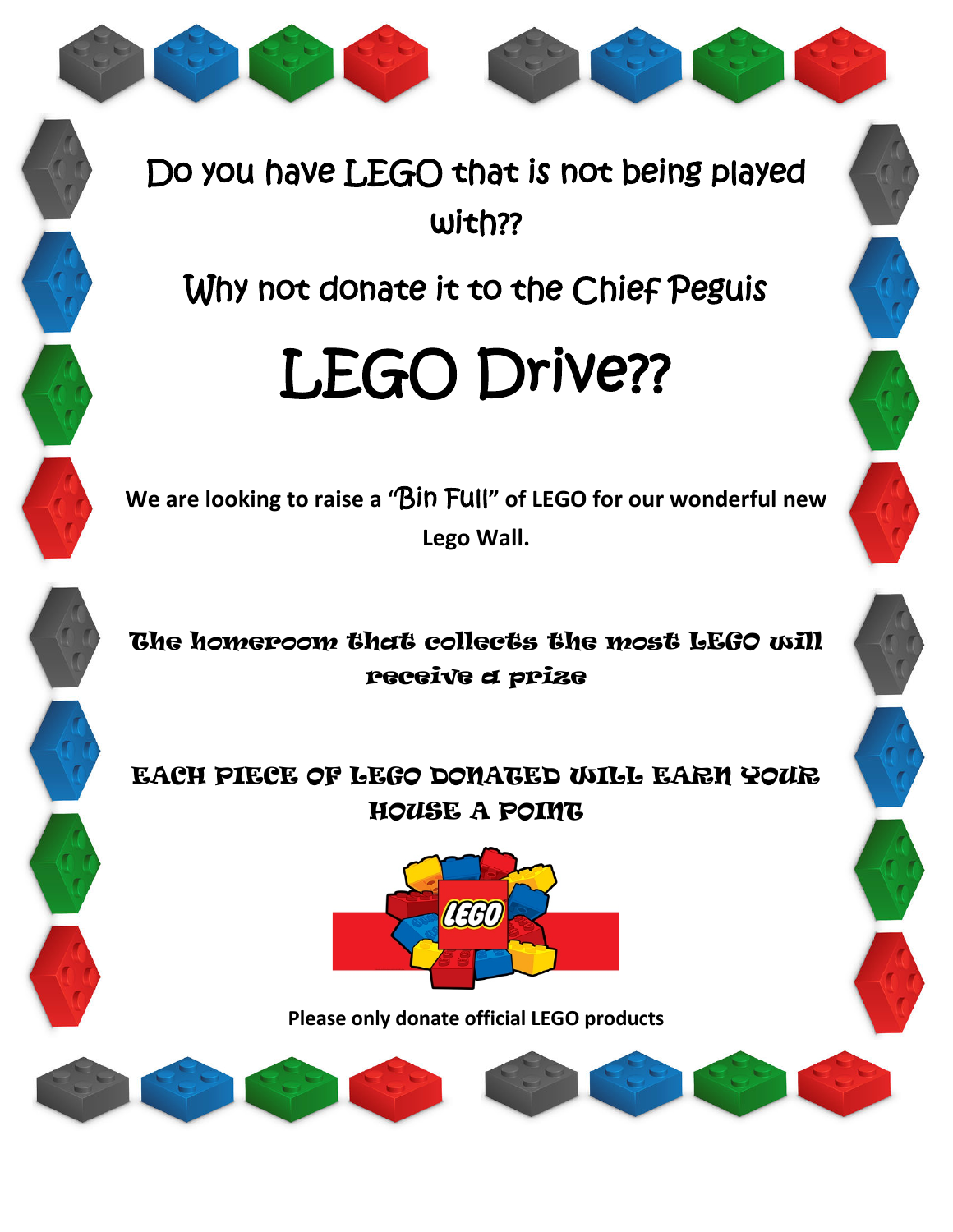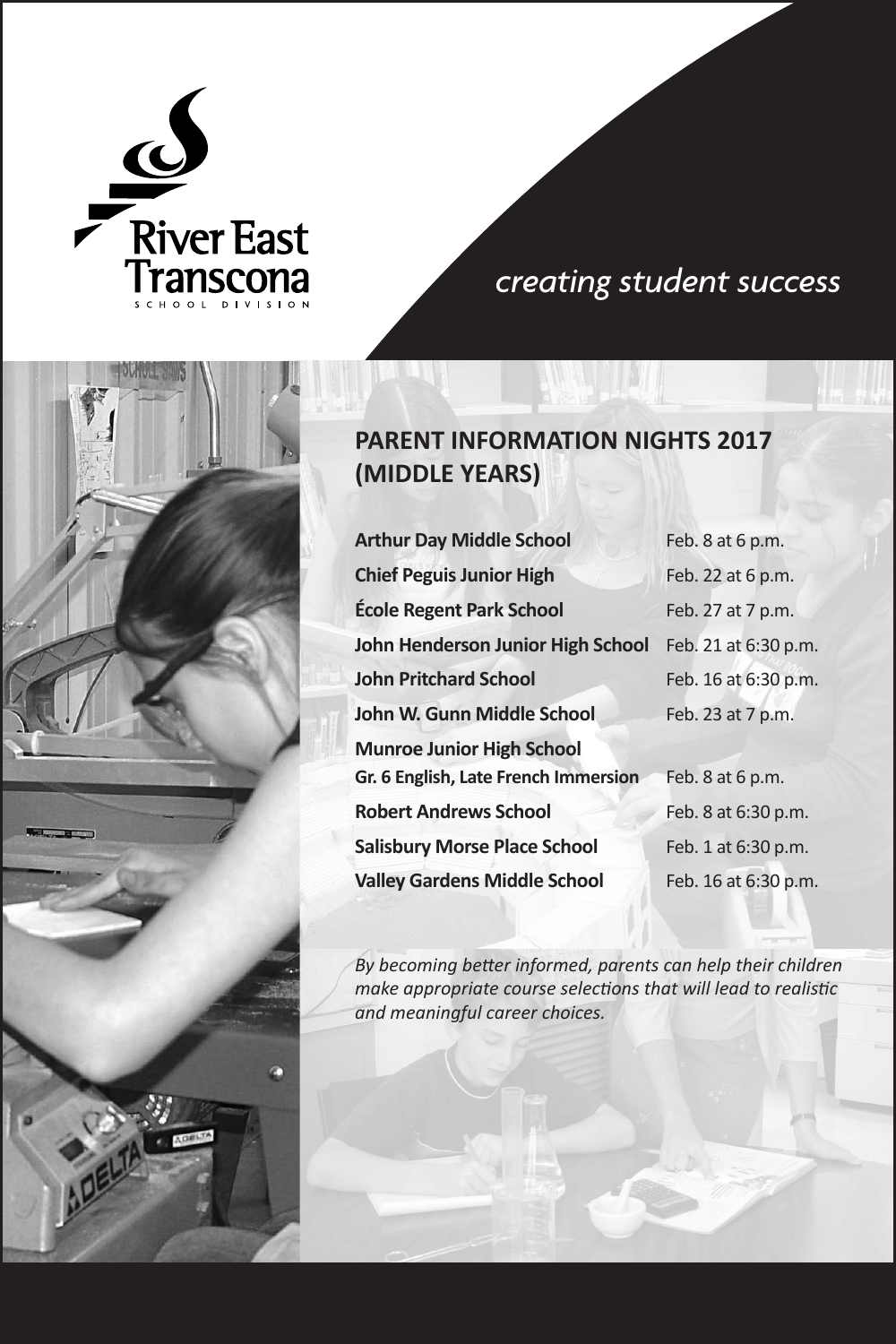

*creating student success*



**PARENT INFORMATION NIGHTS 2017 (MIDDLE YEARS)**

| <b>Arthur Day Middle School</b>      | Feb. 8 at 6 p.m.     |
|--------------------------------------|----------------------|
| <b>Chief Peguis Junior High</b>      | Feb. 22 at 6 p.m.    |
| <b>École Regent Park School</b>      | Feb. 27 at 7 p.m.    |
| John Henderson Junior High School    | Feb. 21 at 6:30 p.m. |
| <b>John Pritchard School</b>         | Feb. 16 at 6:30 p.m. |
| John W. Gunn Middle School           | Feb. 23 at 7 p.m.    |
| <b>Munroe Junior High School</b>     |                      |
| Gr. 6 English, Late French Immersion | Feb. 8 at 6 p.m.     |
| <b>Robert Andrews School</b>         | Feb. 8 at 6:30 p.m.  |
| <b>Salisbury Morse Place School</b>  | Feb. 1 at 6:30 p.m.  |
| <b>Valley Gardens Middle School</b>  | Feb. 16 at 6:30 p.m. |

*By becoming better informed, parents can help their children make appropriate course selections that will lead to realistic and meaningful career choices.*